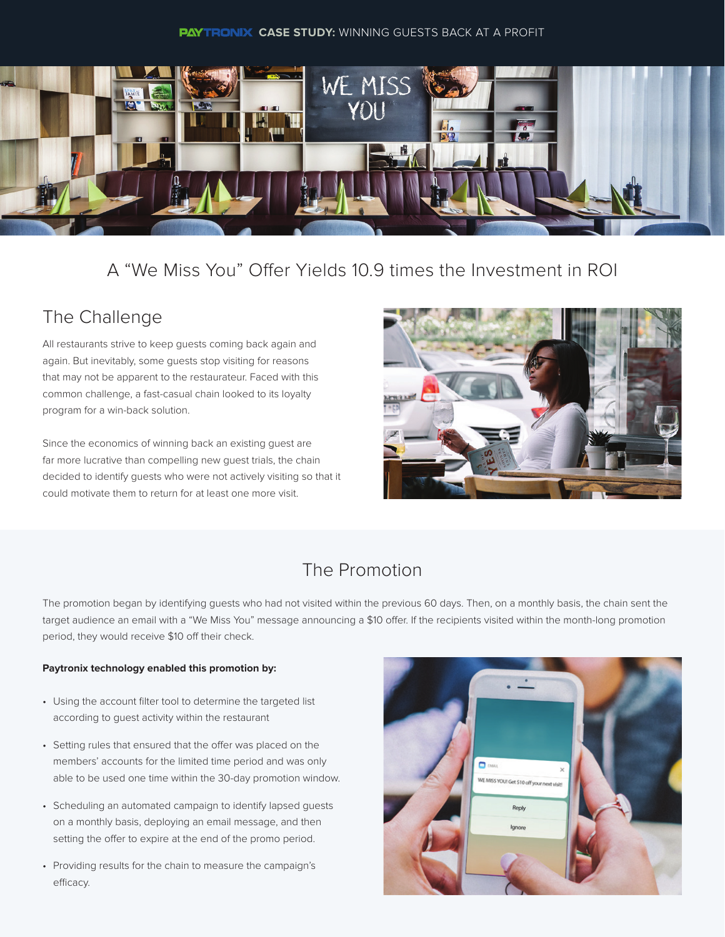#### **PAYTRONIX CASE STUDY:** WINNING GUESTS BACK AT A PROFIT



## A "We Miss You" Offer Yields 10.9 times the Investment in ROI

# The Challenge

All restaurants strive to keep guests coming back again and again. But inevitably, some guests stop visiting for reasons that may not be apparent to the restaurateur. Faced with this common challenge, a fast-casual chain looked to its loyalty program for a win-back solution.

Since the economics of winning back an existing guest are far more lucrative than compelling new guest trials, the chain decided to identify guests who were not actively visiting so that it could motivate them to return for at least one more visit.



## The Promotion

The promotion began by identifying guests who had not visited within the previous 60 days. Then, on a monthly basis, the chain sent the target audience an email with a "We Miss You" message announcing a \$10 offer. If the recipients visited within the month-long promotion period, they would receive \$10 off their check.

#### **Paytronix technology enabled this promotion by:**

- Using the account filter tool to determine the targeted list according to guest activity within the restaurant
- Setting rules that ensured that the offer was placed on the members' accounts for the limited time period and was only able to be used one time within the 30-day promotion window.
- Scheduling an automated campaign to identify lapsed guests on a monthly basis, deploying an email message, and then setting the offer to expire at the end of the promo period.
- Providing results for the chain to measure the campaign's efficacy.